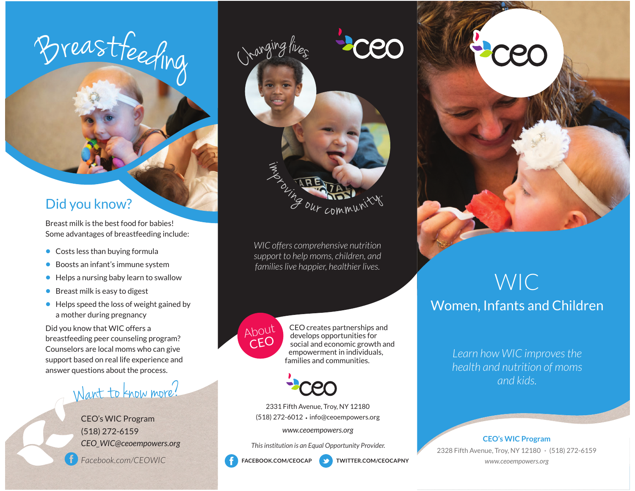# <sup>B</sup>reas<sup>t</sup>f<sup>e</sup>ed<sup>i</sup>n<sup>g</sup>

## Did you know?

Breast milk is the best food for babies! Some advantages of breastfeeding include:

- Costs less than buying formula
- Boosts an infant's immune system
- Helps a nursing baby learn to swallow
- Breast milk is easy to digest
- Helps speed the loss of weight gained by a mother during pregnancy

Did you know that WIC offers a breastfeeding peer counseling program? Counselors are local moms who can give support based on real life experience and answer questions about the process.

# Want to know more?

CEO's WIC Program (518) 272-6159 *CEO\_WIC@ceoempowers.org*

*Facebook.com/CEOWIC*



*WIC offers comprehensive nutrition support to help moms, children, and families live happier, healthier lives.*



 $\begin{array}{c} \begin{array}{c} \text{ADout} \\ \text{A} \text{Dout} \end{array} \\ \begin{array}{c} \begin{array}{c} \text{CEO} \\ \text{accel} \end{array} \end{array} \end{array}$  social and economic growth and empowerment in individuals, families and communities.



2331 Fifth Avenue, Troy, NY 12180 (518) 272-6012 · info@ceoempowers.org

*www.ceoempowers.org*

*This institution is an Equal Opportunity Provider.*



**TWITTER.COM/CEOCAPNY** 



# WICWomen, Infants and Children

*Learn how WIC improves the health and nutrition of moms and kids.*

#### **CEO's WIC Program**

2328 Fifth Avenue, Troy, NY 12180 (518) 272-6159 *www.ceoempowers.org*